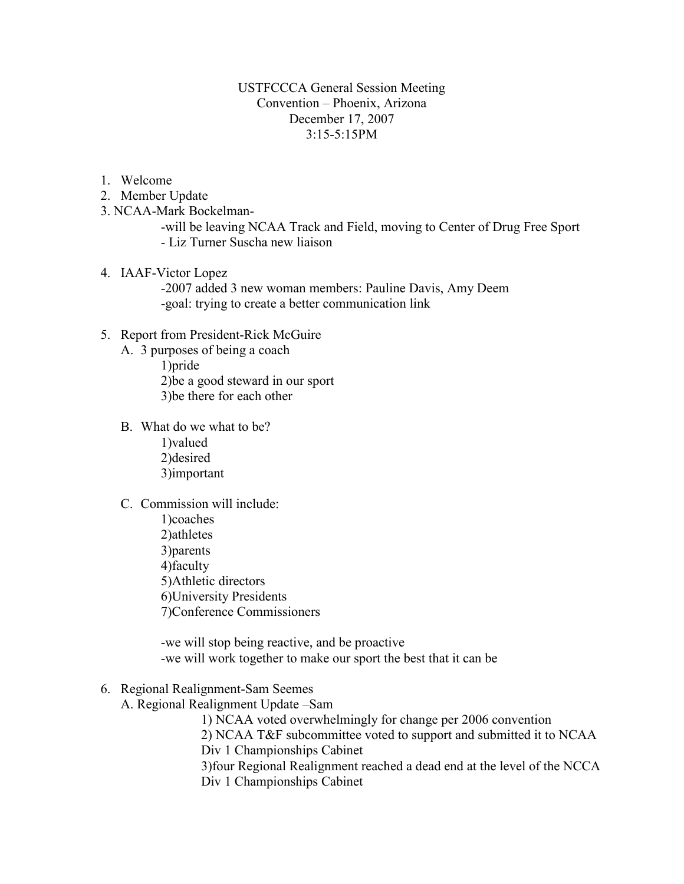# USTFCCCA General Session Meeting Convention – Phoenix, Arizona December 17, 2007 3:15-5:15PM

- 1. Welcome
- 2. Member Update
- 3. NCAA-Mark Bockelman-

-will be leaving NCAA Track and Field, moving to Center of Drug Free Sport - Liz Turner Suscha new liaison

4. IAAF-Victor Lopez

-2007 added 3 new woman members: Pauline Davis, Amy Deem -goal: trying to create a better communication link

- 5. Report from President-Rick McGuire
	- A. 3 purposes of being a coach 1)pride

2)be a good steward in our sport 3)be there for each other

- B. What do we what to be?
	- 1)valued 2)desired 3)important
- C. Commission will include:
	- 1)coaches 2)athletes 3)parents 4)faculty 5)Athletic directors 6)University Presidents 7)Conference Commissioners

-we will stop being reactive, and be proactive -we will work together to make our sport the best that it can be

- 6. Regional Realignment-Sam Seemes
	- A. Regional Realignment Update –Sam
		- 1) NCAA voted overwhelmingly for change per 2006 convention

2) NCAA T&F subcommittee voted to support and submitted it to NCAA Div 1 Championships Cabinet

3)four Regional Realignment reached a dead end at the level of the NCCA Div 1 Championships Cabinet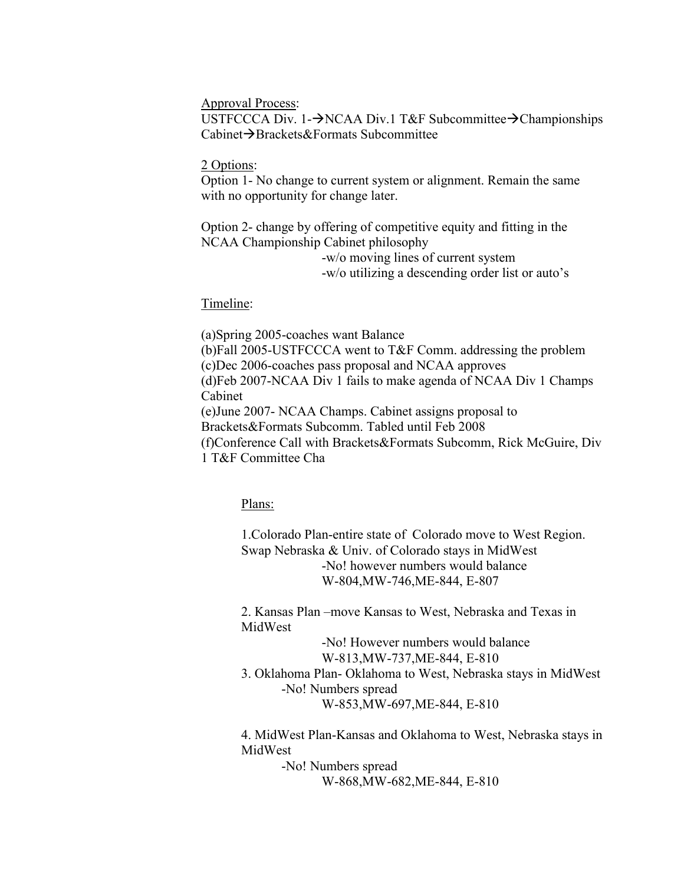Approval Process:

USTFCCCA Div. 1-→NCAA Div.1 T&F Subcommittee→Championships  $Cabinet \rightarrow Brackets \& Formats Subcommitte$ 

#### 2 Options:

Option 1- No change to current system or alignment. Remain the same with no opportunity for change later.

Option 2- change by offering of competitive equity and fitting in the NCAA Championship Cabinet philosophy

> -w/o moving lines of current system -w/o utilizing a descending order list or auto's

### Timeline:

(a)Spring 2005-coaches want Balance (b)Fall 2005-USTFCCCA went to T&F Comm. addressing the problem (c)Dec 2006-coaches pass proposal and NCAA approves (d)Feb 2007-NCAA Div 1 fails to make agenda of NCAA Div 1 Champs Cabinet (e)June 2007- NCAA Champs. Cabinet assigns proposal to Brackets&Formats Subcomm. Tabled until Feb 2008 (f)Conference Call with Brackets&Formats Subcomm, Rick McGuire, Div 1 T&F Committee Cha

Plans:

1.Colorado Plan-entire state of Colorado move to West Region. Swap Nebraska & Univ. of Colorado stays in MidWest -No! however numbers would balance W-804,MW-746,ME-844, E-807

2. Kansas Plan –move Kansas to West, Nebraska and Texas in MidWest

> -No! However numbers would balance W-813,MW-737,ME-844, E-810

3. Oklahoma Plan- Oklahoma to West, Nebraska stays in MidWest -No! Numbers spread W-853,MW-697,ME-844, E-810

4. MidWest Plan-Kansas and Oklahoma to West, Nebraska stays in MidWest

> -No! Numbers spread W-868,MW-682,ME-844, E-810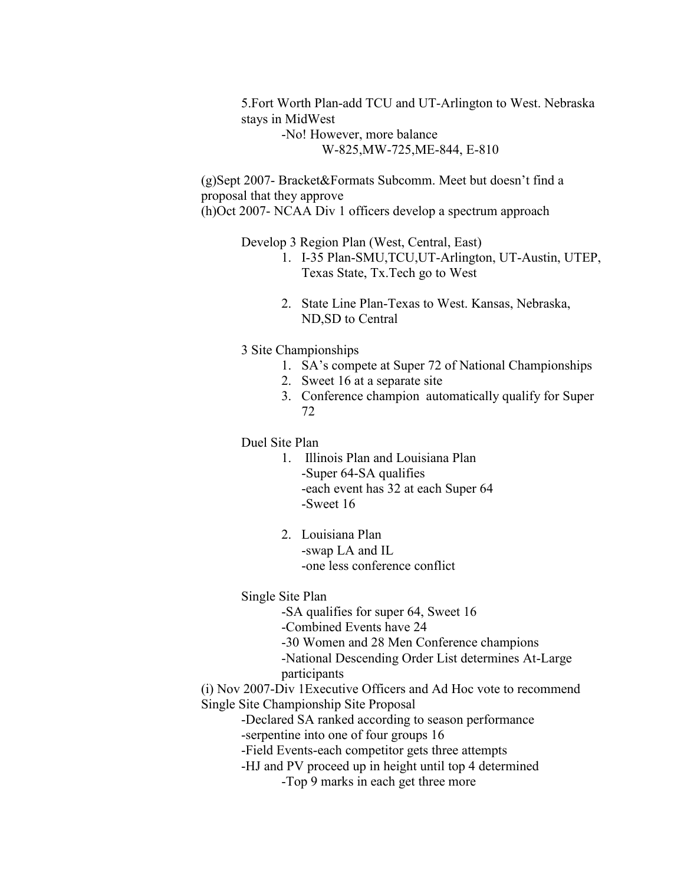5.Fort Worth Plan-add TCU and UT-Arlington to West. Nebraska stays in MidWest

> -No! However, more balance W-825,MW-725,ME-844, E-810

(g)Sept 2007- Bracket&Formats Subcomm. Meet but doesn't find a proposal that they approve (h)Oct 2007- NCAA Div 1 officers develop a spectrum approach

Develop 3 Region Plan (West, Central, East)

- 1. I-35 Plan-SMU,TCU,UT-Arlington, UT-Austin, UTEP, Texas State, Tx.Tech go to West
- 2. State Line Plan-Texas to West. Kansas, Nebraska, ND,SD to Central
- 3 Site Championships
	- 1. SA's compete at Super 72 of National Championships
	- 2. Sweet 16 at a separate site
	- 3. Conference champion automatically qualify for Super 72

Duel Site Plan

- 1. Illinois Plan and Louisiana Plan -Super 64-SA qualifies -each event has 32 at each Super 64 -Sweet 16
- 2. Louisiana Plan -swap LA and IL -one less conference conflict

Single Site Plan

-SA qualifies for super 64, Sweet 16

-Combined Events have 24

-30 Women and 28 Men Conference champions

- -National Descending Order List determines At-Large participants
- 

(i) Nov 2007-Div 1Executive Officers and Ad Hoc vote to recommend Single Site Championship Site Proposal

- -Declared SA ranked according to season performance -serpentine into one of four groups 16
- -Field Events-each competitor gets three attempts
- -HJ and PV proceed up in height until top 4 determined

-Top 9 marks in each get three more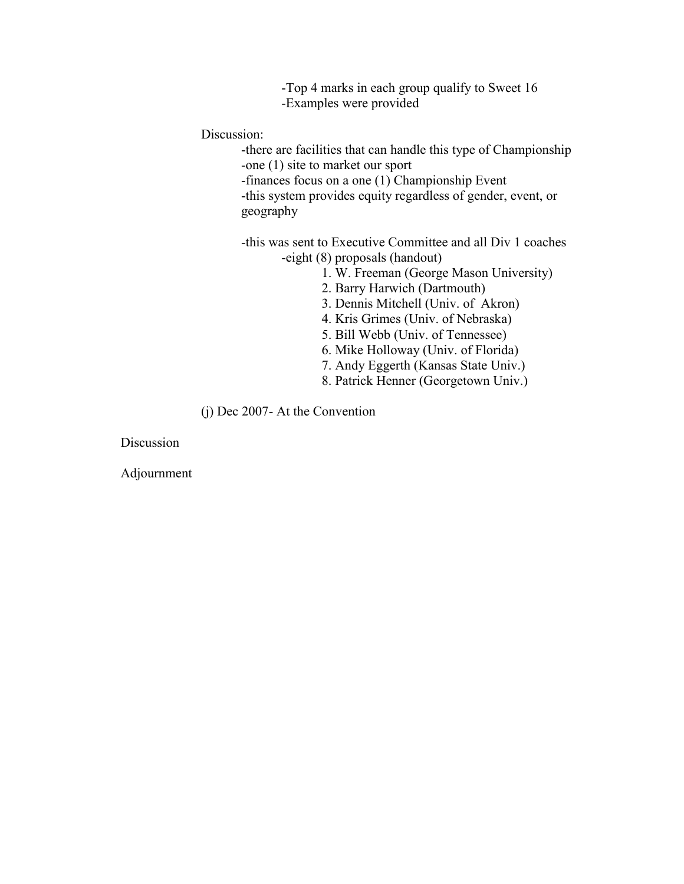-Top 4 marks in each group qualify to Sweet 16 -Examples were provided

Discussion:

-there are facilities that can handle this type of Championship -one (1) site to market our sport

-finances focus on a one (1) Championship Event

-this system provides equity regardless of gender, event, or geography

-this was sent to Executive Committee and all Div 1 coaches -eight (8) proposals (handout)

- 1. W. Freeman (George Mason University)
- 2. Barry Harwich (Dartmouth)
- 3. Dennis Mitchell (Univ. of Akron)
- 4. Kris Grimes (Univ. of Nebraska)
- 5. Bill Webb (Univ. of Tennessee)
- 6. Mike Holloway (Univ. of Florida)
- 7. Andy Eggerth (Kansas State Univ.)
- 8. Patrick Henner (Georgetown Univ.)

(j) Dec 2007- At the Convention

Discussion

Adjournment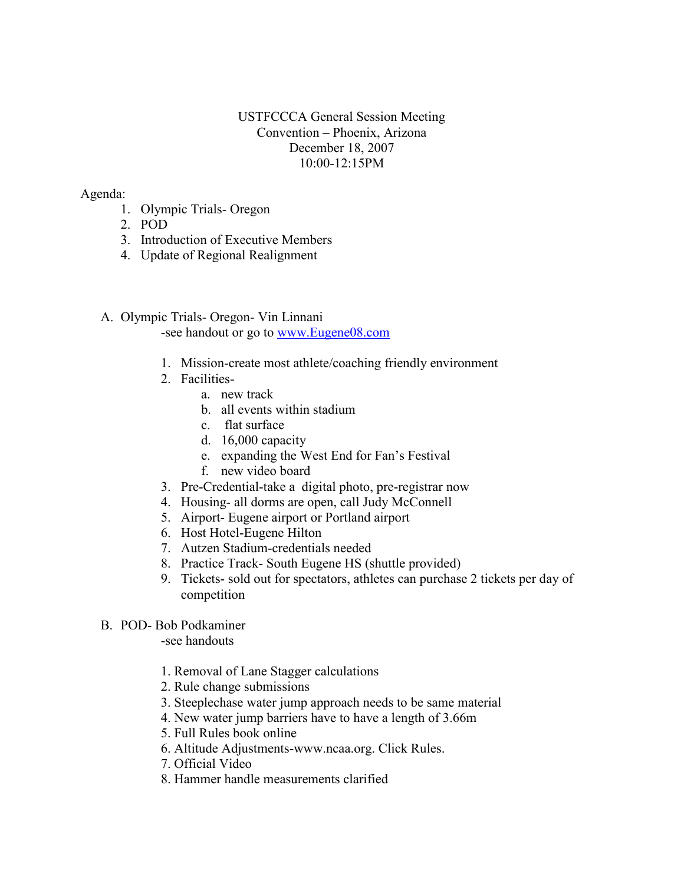# USTFCCCA General Session Meeting Convention – Phoenix, Arizona December 18, 2007 10:00-12:15PM

# Agenda:

- 1. Olympic Trials- Oregon
- 2. POD
- 3. Introduction of Executive Members
- 4. Update of Regional Realignment
- A. Olympic Trials- Oregon- Vin Linnani

-see handout or go to [www.Eugene08.com](http://www.eugene08.com/)

- 1. Mission-create most athlete/coaching friendly environment
- 2. Facilities
	- a. new track
	- b. all events within stadium
	- c. flat surface
	- d. 16,000 capacity
	- e. expanding the West End for Fan's Festival
	- f. new video board
- 3. Pre-Credential-take a digital photo, pre-registrar now
- 4. Housing- all dorms are open, call Judy McConnell
- 5. Airport- Eugene airport or Portland airport
- 6. Host Hotel-Eugene Hilton
- 7. Autzen Stadium-credentials needed
- 8. Practice Track- South Eugene HS (shuttle provided)
- 9. Tickets- sold out for spectators, athletes can purchase 2 tickets per day of competition

# B. POD- Bob Podkaminer

-see handouts

- 1. Removal of Lane Stagger calculations
- 2. Rule change submissions
- 3. Steeplechase water jump approach needs to be same material
- 4. New water jump barriers have to have a length of 3.66m
- 5. Full Rules book online
- 6. Altitude Adjustments-www.ncaa.org. Click Rules.
- 7. Official Video
- 8. Hammer handle measurements clarified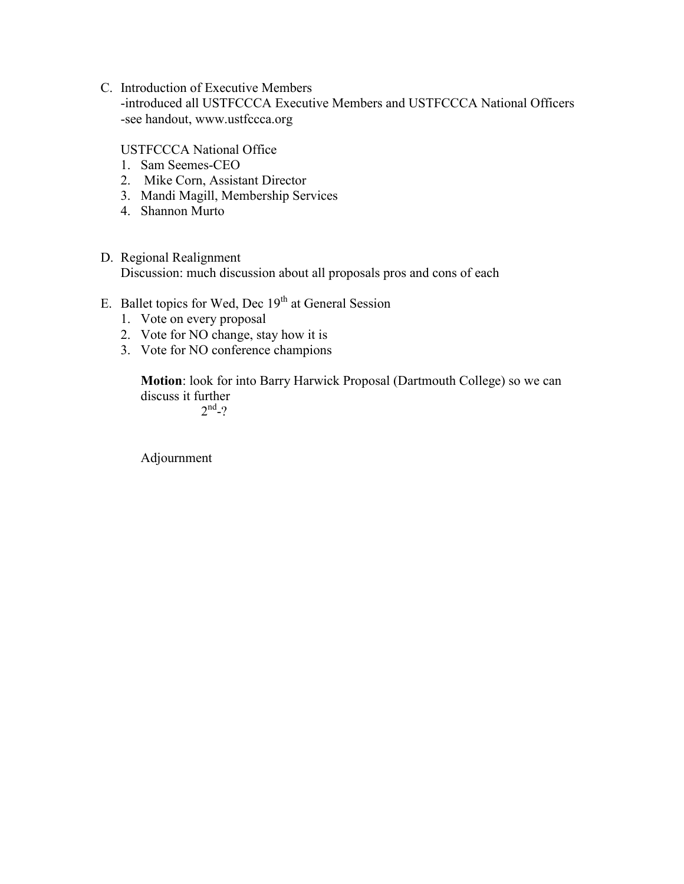C. Introduction of Executive Members

-introduced all USTFCCCA Executive Members and USTFCCCA National Officers -see handout, www.ustfccca.org

USTFCCCA National Office

- 1. Sam Seemes-CEO
- 2. Mike Corn, Assistant Director
- 3. Mandi Magill, Membership Services
- 4. Shannon Murto
- D. Regional Realignment Discussion: much discussion about all proposals pros and cons of each
- E. Ballet topics for Wed, Dec  $19<sup>th</sup>$  at General Session
	- 1. Vote on every proposal
	- 2. Vote for NO change, stay how it is
	- 3. Vote for NO conference champions

**Motion**: look for into Barry Harwick Proposal (Dartmouth College) so we can discuss it further

 $2^{nd} - ?$ 

Adjournment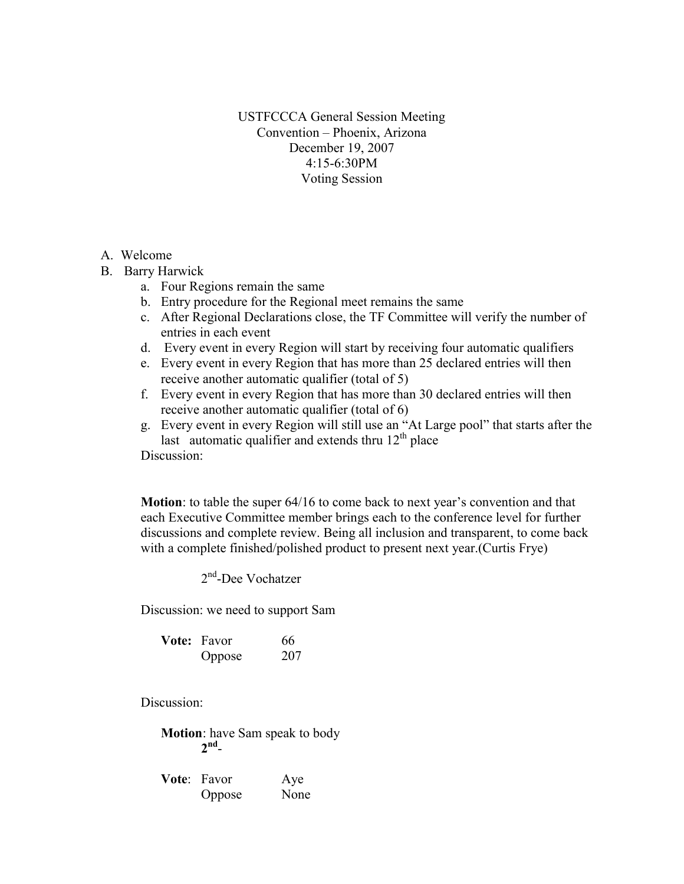USTFCCCA General Session Meeting Convention – Phoenix, Arizona December 19, 2007 4:15-6:30PM Voting Session

#### A. Welcome

- B. Barry Harwick
	- a. Four Regions remain the same
	- b. Entry procedure for the Regional meet remains the same
	- c. After Regional Declarations close, the TF Committee will verify the number of entries in each event
	- d. Every event in every Region will start by receiving four automatic qualifiers
	- e. Every event in every Region that has more than 25 declared entries will then receive another automatic qualifier (total of 5)
	- f. Every event in every Region that has more than 30 declared entries will then receive another automatic qualifier (total of 6)
	- g. Every event in every Region will still use an "At Large pool" that starts after the last automatic qualifier and extends thru  $12<sup>th</sup>$  place

Discussion:

**Motion**: to table the super 64/16 to come back to next year's convention and that each Executive Committee member brings each to the conference level for further discussions and complete review. Being all inclusion and transparent, to come back with a complete finished/polished product to present next year.(Curtis Frye)

2<sup>nd</sup>-Dee Vochatzer

Discussion: we need to support Sam

| <b>Vote:</b> Favor | 66  |
|--------------------|-----|
| Oppose             | 207 |

Discussion:

**Motion**: have Sam speak to body **2 nd** -

| Vote: Favor | Aye  |
|-------------|------|
| Oppose      | None |